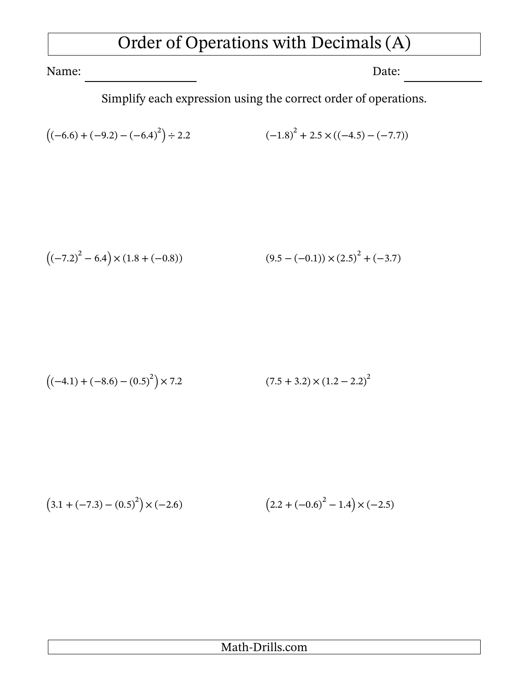## Order of Operations with Decimals (A)

Name: Date:

Simplify each expression using the correct order of operations.

$$
((-6.6) + (-9.2) - (-6.4)^{2}) \div 2.2
$$
\n
$$
(-1.8)^{2} + 2.5 \times ((-4.5) - (-7.7))
$$

$$
((-7.2)^{2} - 6.4) \times (1.8 + (-0.8))
$$
\n
$$
(9.5 - (-0.1)) \times (2.5)^{2} + (-3.7)
$$

$$
((-4.1) + (-8.6) - (0.5)^{2}) \times 7.2
$$
\n(7.5 + 3.2) × (1.2 – 2.2)<sup>2</sup>

$$
(3.1 + (-7.3) - (0.5)^{2}) \times (-2.6)
$$
\n
$$
(2.2 + (-0.6)^{2} - 1.4) \times (-2.5)
$$